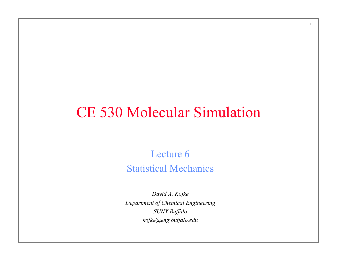### CE 530 Molecular Simulation

1

Lecture 6 Statistical Mechanics

*David A. Kofke Department of Chemical Engineering SUNY Buffalo kofke@eng.buffalo.edu*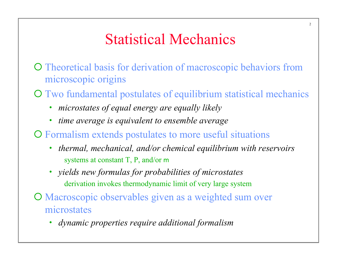#### Statistical Mechanics

 $\mathfrak{D}$ 

O Theoretical basis for derivation of macroscopic behaviors from microscopic origins

¡ Two fundamental postulates of equilibrium statistical mechanics

- *microstates of equal energy are equally likely*
- *time average is equivalent to ensemble average*
- ¡ Formalism extends postulates to more useful situations
	- *thermal, mechanical, and/or chemical equilibrium with reservoirs*  systems at constant T, P, and/or m
	- *yields new formulas for probabilities of microstates*  derivation invokes thermodynamic limit of very large system
- O Macroscopic observables given as a weighted sum over microstates
	- *dynamic properties require additional formalism*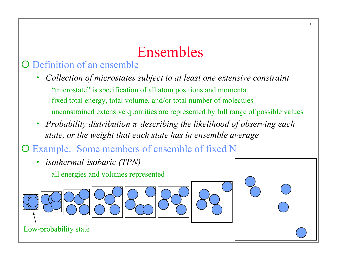#### Ensembles

3

#### **O** Definition of an ensemble

- *Collection of microstates subject to at least one extensive constraint*  "microstate" is specification of all atom positions and momenta fixed total energy, total volume, and/or total number of molecules unconstrained extensive quantities are represented by full range of possible values
- *Probability distribution π describing the likelihood of observing each state, or the weight that each state has in ensemble average*
- O Example: Some members of ensemble of fixed N

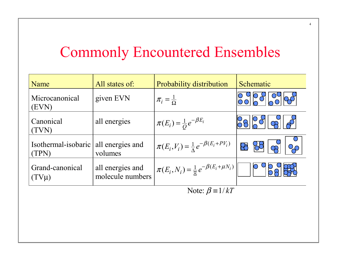# Commonly Encountered Ensembles

| Name                                            | All states of:                       | <b>Probability distribution</b>                             | Schematic                |
|-------------------------------------------------|--------------------------------------|-------------------------------------------------------------|--------------------------|
| Microcanonical<br>(EVN)                         | given EVN                            | $\pi_i = \frac{1}{\Omega}$                                  |                          |
| Canonical<br>(TVN)                              | all energies                         | $\pi(E_i) = \frac{1}{O} e^{-\beta E_i}$                     |                          |
| Isothermal-isobaric   all energies and<br>(TPN) | volumes                              | $\pi(E_i, V_i) = \frac{1}{\Lambda} e^{-\beta (E_i + PV_i)}$ | $Q_{\Omega}$<br>$\Theta$ |
| Grand-canonical<br>$(TV\mu)$                    | all energies and<br>molecule numbers | $\pi(E_i, N_i) = \frac{1}{\pi} e^{-\beta(E_i + \mu N_i)}$   | $\circ$                  |

Note:  $\beta = 1/kT$ 

4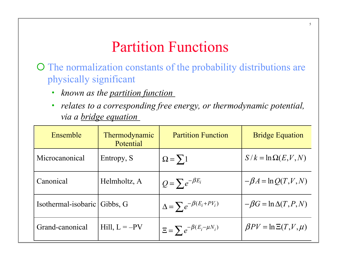#### Partition Functions

5

¡ The normalization constants of the probability distributions are physically significant

- *known as the partition function*
- *relates to a corresponding free energy, or thermodynamic potential, via a bridge equation*

| Ensemble            | Thermodynamic<br>Potential | <b>Partition Function</b>                   | <b>Bridge Equation</b>           |
|---------------------|----------------------------|---------------------------------------------|----------------------------------|
| Microcanonical      | Entropy, S                 | $\Omega = \sum 1$                           | $S/k = \ln \Omega(E, V, N)$      |
| Canonical           | Helmholtz, A               | $Q = \sum e^{-\beta E_i}$                   | $-\beta A = \ln Q(T, V, N)$      |
| Isothermal-isobaric | Gibbs, G                   | $\Delta = \sum e^{-\beta (E_i + PV_i)}$     | $-\beta G = \ln \Delta(T, P, N)$ |
| Grand-canonical     | Hill, $L = -PV$            | $\Xi = \sum_{i} e^{-\beta (E_i - \mu N_i)}$ | $\beta PV = \ln \Xi(T, V, \mu)$  |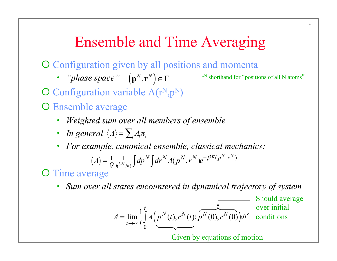#### Ensemble and Time Averaging

O Configuration given by all positions and momenta

• *"phase space"*  $(p^N, r^N) \in \Gamma$ 

 $r<sup>N</sup>$  shorthand for "positions of all N atoms"

over initial

conditions

- $\overline{O}$  Configuration variable  $A(r^N,p^N)$
- O Ensemble average
	- *Weighted sum over all members of ensemble*
	- *In general*  $\langle A \rangle = \sum A_i \pi_i$
	- *For example, canonical ensemble, classical mechanics:*

$$
\langle A \rangle = \frac{1}{Q} \frac{1}{h^{3N} N!} \int dp^N \int dr^N A(p^N, r^N) e^{-\beta E(p^N, r^N)}
$$

#### O Time average

• *Sum over all states encountered in dynamical trajectory of system* 

$$
\overline{A} = \lim_{t \to \infty} \frac{1}{t} \int_{0}^{t} A\left(p^{N}(t), r^{N}(t); p^{N}(0), r^{N}(0)\right) dt'
$$
 Solving the solution.

Given by equations of motion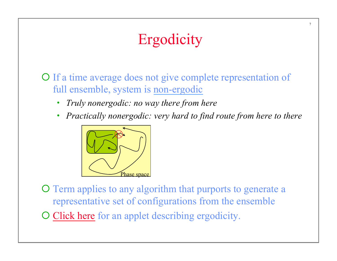# **Ergodicity**

7

O If a time average does not give complete representation of full ensemble, system is non-ergodic

- *Truly nonergodic: no way there from here*
- *Practically nonergodic: very hard to find route from here to there*



- ¡ Term applies to any algorithm that purports to generate a representative set of configurations from the ensemble
- $\overline{O}$  Click here for an applet describing ergodicity.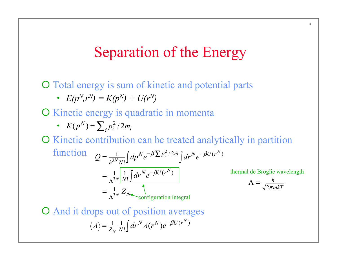#### Separation of the Energy

¡ Total energy is sum of kinetic and potential parts

•  $E(p^N, r^N) = K(p^N) + U(r^N)$ 

O Kinetic energy is quadratic in momenta

• 
$$
K(p^N) = \sum_i p_i^2 / 2m_i
$$

¡ Kinetic contribution can be treated analytically in partition function 2 3 3 3  $\int d\mathbf{n}^N e^{-\beta \sum p_i^2/2m} \int d\mathbf{r}^N e^{-\beta U(r^N)}$ !  $\frac{1}{1}$   $\int d\mathbf{r}^N e^{-\beta U(r^N)}$ ! 1 *N i N N N N*  $N_e - \beta \sum p_i^2 / 2m \int_{\partial x} N_e - \beta U(r)$  $h^{3N}N$  $N_{\alpha}$ - $\beta U(r)$ *N N*  $Q = \frac{1}{h^{3N} N!} \int dp^N e^{-\beta \sum p_i^2/2m} \int dr^N e^{-\beta \epsilon}$  $dr^{\prime \prime}e$ *Z*  $-\beta$ Λ Λ = = ∫ 2 *h* <sup>π</sup>*mkT*  $\Lambda =$ thermal de Broglie wavelength configuration integral

 $\overline{O}$  And it drops out of position averages  $\frac{1}{N_N}\frac{1}{N!}\!\int\!dr^N A(r^N)e^{-\beta U(r^N)}$ *N N*  $A\rangle = \frac{1}{Z_N} \frac{1}{N!} \int dr^N A(r^N) e^{-\beta U(r)}$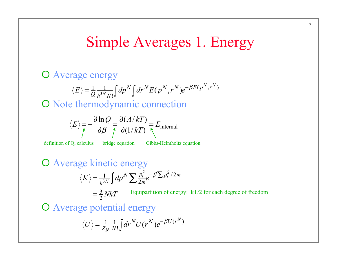#### Simple Averages 1. Energy

#### O Average energy

$$
\langle E \rangle = \frac{1}{Q} \frac{1}{h^{3N} N!} \int dp^N \int dr^N E(p^N, r^N) e^{-\beta E(p^N, r^N)}
$$

O Note thermodynamic connection

$$
\langle E \rangle = -\frac{\partial \ln Q}{\partial \beta} = \frac{\partial (A/kT)}{\partial (1/kT)} = E_{\text{internal}}
$$

definition of Q; calculus bridge equation Gibbs-Helmholtz equation

#### O Average kinetic energy

$$
\langle K \rangle = \frac{1}{h^{3N}} \int dp^N \sum \frac{p_i^2}{2m} e^{-\beta \sum p_i^2 / 2m}
$$

3  $=\frac{3}{2}NkT$ Equipartition of energy: kT/2 for each degree of freedom

O Average potential energy

$$
\langle U \rangle = \frac{1}{Z_N} \frac{1}{N!} \int dr^N U(r^N) e^{-\beta U(r^N)}
$$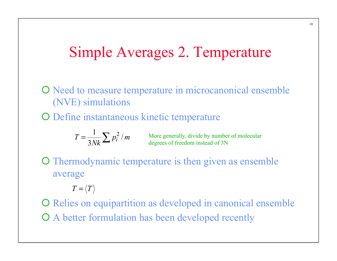#### Simple Averages 2. Temperature

- O Need to measure temperature in microcanonical ensemble (NVE) simulations
- O Define instantaneous kinetic temperature

$$
T = \frac{1}{3Nk} \sum p_i^2 / m
$$

More generally, divide by number of molecular degrees of freedom instead of 3N

O Thermodynamic temperature is then given as ensemble average

 $T = \langle T \rangle$ 

 $\overline{O}$  Relies on equipartition as developed in canonical ensemble O A better formulation has been developed recently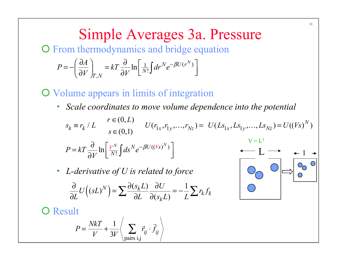**Simple Averages 3a. Pressure**  
Of from thermodynamics and bridge equation  

$$
P = -\left(\frac{\partial A}{\partial V}\right)_{T,N} = kT \frac{\partial}{\partial V} \ln \left[\frac{1}{N!} \int dr^N e^{-\beta U(r^N)}\right]
$$

O Volume appears in limits of integration

• *Scale coordinates to move volume dependence into the potential* 

$$
s_k \equiv r_k / L \qquad \begin{array}{l} r \in (0, L) \\ s \in (0, 1) \end{array} \qquad U(r_{1x}, r_{1y}, \dots, r_{Nz}) = U(Ls_{1x}, Ls_{1y}, \dots, Ls_{Nz}) = U((Vs)^N)
$$
\n
$$
P = kT \frac{\partial}{\partial V} \ln \left[ \frac{V^N}{N!} \int ds^N e^{-\beta U((Vs)^N)} \right] \qquad \begin{array}{l} \n\text{if } V = L^3 \\ \n\text{if } V = L^4 \\ \n\end{array} \qquad \begin{array}{l} \n\text{if } V = L^3 \\ \n\text{if } V = L^4 \\ \n\end{array} \qquad \begin{array}{l} \n\text{if } V = L^4 \\ \n\text{if } V = L^4 \\ \n\end{array} \qquad \begin{array}{l} \n\text{if } V = L^4 \\ \n\text{if } V = L^4 \\ \n\end{array}
$$

• *L-derivative of U is related to force* 

$$
\frac{\partial}{\partial L}U((sL)^{N}) = \sum \frac{\partial(s_{k}L)}{\partial L} \frac{\partial U}{\partial(s_{k}L)} = -\frac{1}{L} \sum r_{k}f_{k}
$$

11

O Result

$$
P = \frac{NkT}{V} + \frac{1}{3V} \left\langle \sum_{\text{pairs } i,j} \vec{r}_{ij} \cdot \vec{f}_{ij} \right\rangle
$$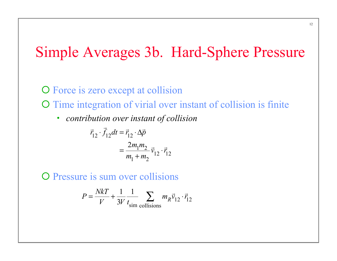### Simple Averages 3b. Hard-Sphere Pressure

O Force is zero except at collision O Time integration of virial over instant of collision is finite

 $\mathfrak{D}$ 

• *contribution over instant of collision* 

$$
\vec{r}_{12} \cdot \vec{f}_{12} dt = \vec{r}_{12} \cdot \Delta \vec{p}
$$

$$
= \frac{2m_1m_2}{m_1 + m_2} \vec{v}_{12} \cdot \vec{r}_1
$$

O Pressure is sum over collisions

 $\overrightarrow{u}$ 

$$
P = \frac{NkT}{V} + \frac{1}{3V} \frac{1}{t_{\text{sim}}}\sum_{\text{collisions}} m_R \vec{v}_{12} \cdot \vec{r}_{12}
$$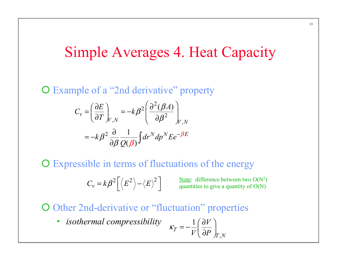#### Simple Averages 4. Heat Capacity

¡ Example of a "2nd derivative" property

$$
C_{v} = \left(\frac{\partial E}{\partial T}\right)_{V,N} = -k\beta^{2} \left(\frac{\partial^{2}(\beta A)}{\partial \beta^{2}}\right)_{V,N}
$$

$$
= -k\beta^{2} \frac{\partial}{\partial \beta} \frac{1}{Q(\beta)} \int dr^{N} dp^{N} E e^{-\beta E}
$$

O Expressible in terms of fluctuations of the energy

$$
C_{v} = k\beta^{2}\left[\left\langle E^{2}\right\rangle - \left\langle E\right\rangle^{2}\right]
$$

Note: difference between two  $O(N^2)$ quantities to give a quantity of O(N)

,

O Other 2nd-derivative or "fluctuation" properties

• *isothermal compressibility*  1 *T T N V*  $V \left\{ \right. \partial P$  $\kappa_r = -\frac{1}{\omega} \left( \frac{\partial V}{\partial r} \right)^2$  $=-\frac{1}{V}\left(\frac{\partial V}{\partial P}\right)$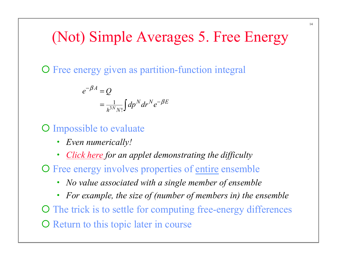### (Not) Simple Averages 5. Free Energy

O Free energy given as partition-function integral

$$
e^{-\beta A} = Q
$$
  
=  $\frac{1}{h^{3N}N!} \int dp^N dr^N e^{-\beta E}$ 

O Impossible to evaluate

- *Even numerically!*
- *Click here for an applet demonstrating the difficulty*

O Free energy involves properties of entire ensemble

- *No value associated with a single member of ensemble*
- *For example, the size of (number of members in) the ensemble*

 $\overline{O}$  The trick is to settle for computing free-energy differences O Return to this topic later in course